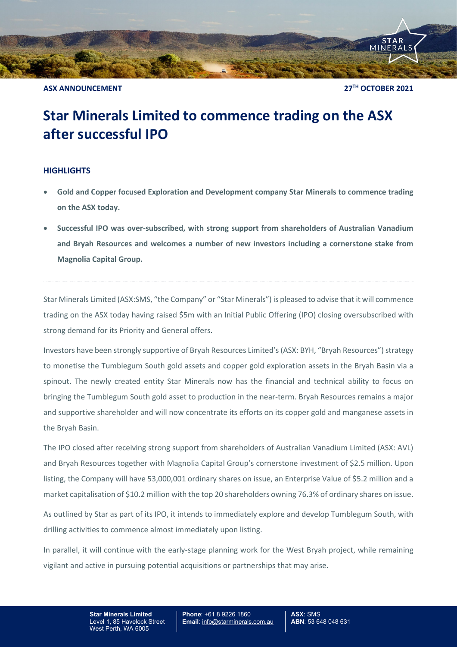

**ASX ANNOUNCEMENT 27TH OCTOBER 2021**

## **Star Minerals Limited to commence trading on the ASX after successful IPO**

## **HIGHLIGHTS**

- **Gold and Copper focused Exploration and Development company Star Minerals to commence trading on the ASX today.**
- **Successful IPO was over-subscribed, with strong support from shareholders of Australian Vanadium and Bryah Resources and welcomes a number of new investors including a cornerstone stake from Magnolia Capital Group.**

Star Minerals Limited (ASX:SMS, "the Company" or "Star Minerals") is pleased to advise that it will commence trading on the ASX today having raised \$5m with an Initial Public Offering (IPO) closing oversubscribed with strong demand for its Priority and General offers.

Investors have been strongly supportive of Bryah Resources Limited's (ASX: BYH, "Bryah Resources")strategy to monetise the Tumblegum South gold assets and copper gold exploration assets in the Bryah Basin via a spinout. The newly created entity Star Minerals now has the financial and technical ability to focus on bringing the Tumblegum South gold asset to production in the near-term. Bryah Resources remains a major and supportive shareholder and will now concentrate its efforts on its copper gold and manganese assets in the Bryah Basin.

The IPO closed after receiving strong support from shareholders of Australian Vanadium Limited (ASX: AVL) and Bryah Resources together with Magnolia Capital Group's cornerstone investment of \$2.5 million. Upon listing, the Company will have 53,000,001 ordinary shares on issue, an Enterprise Value of \$5.2 million and a market capitalisation of \$10.2 million with the top 20 shareholders owning 76.3% of ordinary shares on issue.

As outlined by Star as part of its IPO, it intends to immediately explore and develop Tumblegum South, with drilling activities to commence almost immediately upon listing.

In parallel, it will continue with the early-stage planning work for the West Bryah project, while remaining vigilant and active in pursuing potential acquisitions or partnerships that may arise.